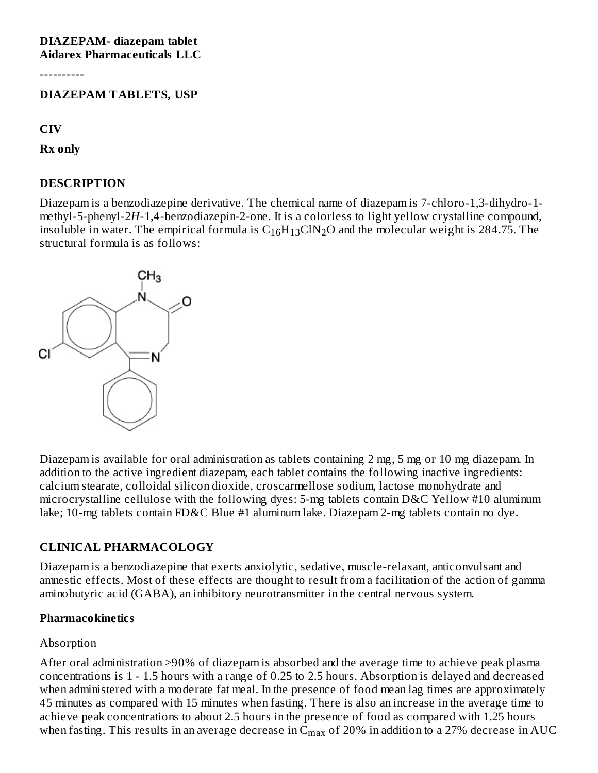#### **DIAZEPAM- diazepam tablet Aidarex Pharmaceuticals LLC**

----------

#### **DIAZEPAM TABLETS, USP**

**CIV**

**Rx only**

#### **DESCRIPTION**

Diazepam is a benzodiazepine derivative. The chemical name of diazepam is 7-chloro-1,3-dihydro-1 methyl-5-phenyl-2*H*-1,4-benzodiazepin-2-one. It is a colorless to light yellow crystalline compound, insoluble in water. The empirical formula is  $\rm C_{16}H_{13}CIN_{2}O$  and the molecular weight is 284.75. The structural formula is as follows:



Diazepam is available for oral administration as tablets containing 2 mg, 5 mg or 10 mg diazepam. In addition to the active ingredient diazepam, each tablet contains the following inactive ingredients: calcium stearate, colloidal silicon dioxide, croscarmellose sodium, lactose monohydrate and microcrystalline cellulose with the following dyes: 5-mg tablets contain D&C Yellow #10 aluminum lake; 10-mg tablets contain FD&C Blue #1 aluminum lake. Diazepam 2-mg tablets contain no dye.

#### **CLINICAL PHARMACOLOGY**

Diazepam is a benzodiazepine that exerts anxiolytic, sedative, muscle-relaxant, anticonvulsant and amnestic effects. Most of these effects are thought to result from a facilitation of the action of gamma aminobutyric acid (GABA), an inhibitory neurotransmitter in the central nervous system.

#### **Pharmacokinetics**

#### Absorption

After oral administration >90% of diazepam is absorbed and the average time to achieve peak plasma concentrations is 1 - 1.5 hours with a range of 0.25 to 2.5 hours. Absorption is delayed and decreased when administered with a moderate fat meal. In the presence of food mean lag times are approximately 45 minutes as compared with 15 minutes when fasting. There is also an increase in the average time to achieve peak concentrations to about 2.5 hours in the presence of food as compared with 1.25 hours when fasting. This results in an average decrease in  $\rm{C_{max}}$  of 20% in addition to a 27% decrease in AUC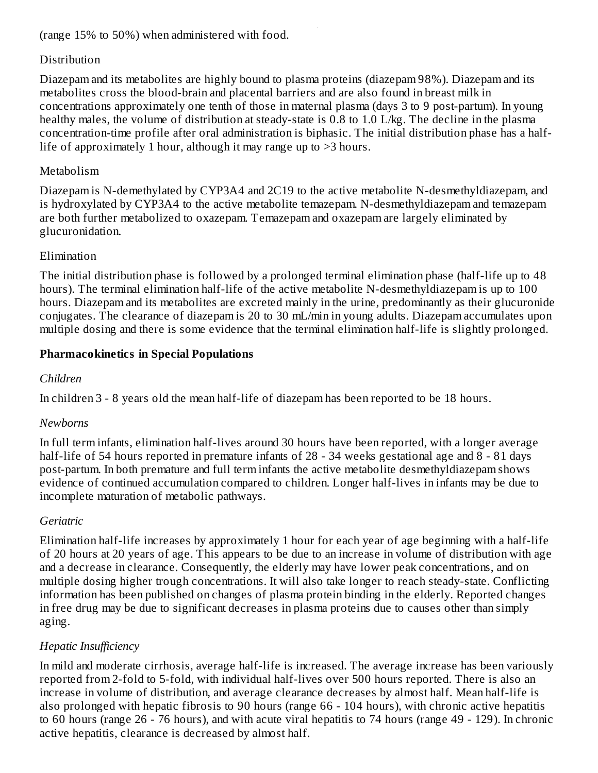(range 15% to 50%) when administered with food.

#### Distribution

Diazepam and its metabolites are highly bound to plasma proteins (diazepam 98%). Diazepam and its metabolites cross the blood-brain and placental barriers and are also found in breast milk in concentrations approximately one tenth of those in maternal plasma (days 3 to 9 post-partum). In young healthy males, the volume of distribution at steady-state is 0.8 to 1.0 L/kg. The decline in the plasma concentration-time profile after oral administration is biphasic. The initial distribution phase has a halflife of approximately 1 hour, although it may range up to >3 hours.

...<sub>...</sub>.

#### Metabolism

Diazepam is N-demethylated by CYP3A4 and 2C19 to the active metabolite N-desmethyldiazepam, and is hydroxylated by CYP3A4 to the active metabolite temazepam. N-desmethyldiazepam and temazepam are both further metabolized to oxazepam. Temazepam and oxazepam are largely eliminated by glucuronidation.

#### Elimination

The initial distribution phase is followed by a prolonged terminal elimination phase (half-life up to 48 hours). The terminal elimination half-life of the active metabolite N-desmethyldiazepam is up to 100 hours. Diazepam and its metabolites are excreted mainly in the urine, predominantly as their glucuronide conjugates. The clearance of diazepam is 20 to 30 mL/min in young adults. Diazepam accumulates upon multiple dosing and there is some evidence that the terminal elimination half-life is slightly prolonged.

## **Pharmacokinetics in Special Populations**

#### *Children*

In children 3 - 8 years old the mean half-life of diazepam has been reported to be 18 hours.

## *Newborns*

In full term infants, elimination half-lives around 30 hours have been reported, with a longer average half-life of 54 hours reported in premature infants of 28 - 34 weeks gestational age and 8 - 81 days post-partum. In both premature and full term infants the active metabolite desmethyldiazepam shows evidence of continued accumulation compared to children. Longer half-lives in infants may be due to incomplete maturation of metabolic pathways.

## *Geriatric*

Elimination half-life increases by approximately 1 hour for each year of age beginning with a half-life of 20 hours at 20 years of age. This appears to be due to an increase in volume of distribution with age and a decrease in clearance. Consequently, the elderly may have lower peak concentrations, and on multiple dosing higher trough concentrations. It will also take longer to reach steady-state. Conflicting information has been published on changes of plasma protein binding in the elderly. Reported changes in free drug may be due to significant decreases in plasma proteins due to causes other than simply aging.

## *Hepatic Insufficiency*

In mild and moderate cirrhosis, average half-life is increased. The average increase has been variously reported from 2-fold to 5-fold, with individual half-lives over 500 hours reported. There is also an increase in volume of distribution, and average clearance decreases by almost half. Mean half-life is also prolonged with hepatic fibrosis to 90 hours (range 66 - 104 hours), with chronic active hepatitis to 60 hours (range 26 - 76 hours), and with acute viral hepatitis to 74 hours (range 49 - 129). In chronic active hepatitis, clearance is decreased by almost half.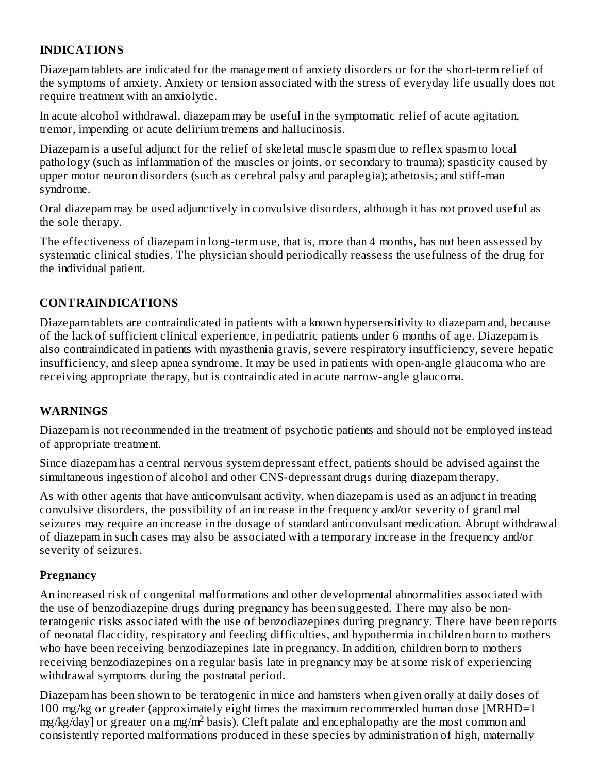#### **INDICATIONS**

Diazepam tablets are indicated for the management of anxiety disorders or for the short-term relief of the symptoms of anxiety. Anxiety or tension associated with the stress of everyday life usually does not require treatment with an anxiolytic.

In acute alcohol withdrawal, diazepam may be useful in the symptomatic relief of acute agitation, tremor, impending or acute delirium tremens and hallucinosis.

Diazepam is a useful adjunct for the relief of skeletal muscle spasm due to reflex spasm to local pathology (such as inflammation of the muscles or joints, or secondary to trauma); spasticity caused by upper motor neuron disorders (such as cerebral palsy and paraplegia); athetosis; and stiff-man syndrome.

Oral diazepam may be used adjunctively in convulsive disorders, although it has not proved useful as the sole therapy.

The effectiveness of diazepam in long-term use, that is, more than 4 months, has not been assessed by systematic clinical studies. The physician should periodically reassess the usefulness of the drug for the individual patient.

## **CONTRAINDICATIONS**

Diazepam tablets are contraindicated in patients with a known hypersensitivity to diazepam and, because of the lack of sufficient clinical experience, in pediatric patients under 6 months of age. Diazepam is also contraindicated in patients with myasthenia gravis, severe respiratory insufficiency, severe hepatic insufficiency, and sleep apnea syndrome. It may be used in patients with open-angle glaucoma who are receiving appropriate therapy, but is contraindicated in acute narrow-angle glaucoma.

## **WARNINGS**

Diazepam is not recommended in the treatment of psychotic patients and should not be employed instead of appropriate treatment.

Since diazepam has a central nervous system depressant effect, patients should be advised against the simultaneous ingestion of alcohol and other CNS-depressant drugs during diazepam therapy.

As with other agents that have anticonvulsant activity, when diazepam is used as an adjunct in treating convulsive disorders, the possibility of an increase in the frequency and/or severity of grand mal seizures may require an increase in the dosage of standard anticonvulsant medication. Abrupt withdrawal of diazepam in such cases may also be associated with a temporary increase in the frequency and/or severity of seizures.

#### **Pregnancy**

An increased risk of congenital malformations and other developmental abnormalities associated with the use of benzodiazepine drugs during pregnancy has been suggested. There may also be nonteratogenic risks associated with the use of benzodiazepines during pregnancy. There have been reports of neonatal flaccidity, respiratory and feeding difficulties, and hypothermia in children born to mothers who have been receiving benzodiazepines late in pregnancy. In addition, children born to mothers receiving benzodiazepines on a regular basis late in pregnancy may be at some risk of experiencing withdrawal symptoms during the postnatal period.

Diazepam has been shown to be teratogenic in mice and hamsters when given orally at daily doses of 100 mg/kg or greater (approximately eight times the maximum recommended human dose [MRHD=1  $mg/kg/day$ ] or greater on a mg/m<sup>2</sup> basis). Cleft palate and encephalopathy are the most common and consistently reported malformations produced in these species by administration of high, maternally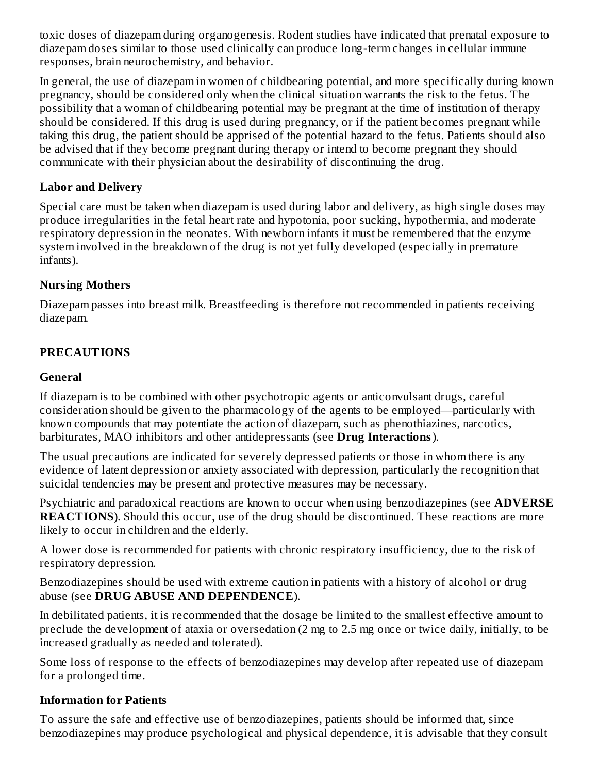toxic doses of diazepam during organogenesis. Rodent studies have indicated that prenatal exposure to diazepam doses similar to those used clinically can produce long-term changes in cellular immune responses, brain neurochemistry, and behavior.

In general, the use of diazepam in women of childbearing potential, and more specifically during known pregnancy, should be considered only when the clinical situation warrants the risk to the fetus. The possibility that a woman of childbearing potential may be pregnant at the time of institution of therapy should be considered. If this drug is used during pregnancy, or if the patient becomes pregnant while taking this drug, the patient should be apprised of the potential hazard to the fetus. Patients should also be advised that if they become pregnant during therapy or intend to become pregnant they should communicate with their physician about the desirability of discontinuing the drug.

## **Labor and Delivery**

Special care must be taken when diazepam is used during labor and delivery, as high single doses may produce irregularities in the fetal heart rate and hypotonia, poor sucking, hypothermia, and moderate respiratory depression in the neonates. With newborn infants it must be remembered that the enzyme system involved in the breakdown of the drug is not yet fully developed (especially in premature infants).

## **Nursing Mothers**

Diazepam passes into breast milk. Breastfeeding is therefore not recommended in patients receiving diazepam.

## **PRECAUTIONS**

#### **General**

If diazepam is to be combined with other psychotropic agents or anticonvulsant drugs, careful consideration should be given to the pharmacology of the agents to be employed—particularly with known compounds that may potentiate the action of diazepam, such as phenothiazines, narcotics, barbiturates, MAO inhibitors and other antidepressants (see **Drug Interactions**).

The usual precautions are indicated for severely depressed patients or those in whom there is any evidence of latent depression or anxiety associated with depression, particularly the recognition that suicidal tendencies may be present and protective measures may be necessary.

Psychiatric and paradoxical reactions are known to occur when using benzodiazepines (see **ADVERSE REACTIONS**). Should this occur, use of the drug should be discontinued. These reactions are more likely to occur in children and the elderly.

A lower dose is recommended for patients with chronic respiratory insufficiency, due to the risk of respiratory depression.

Benzodiazepines should be used with extreme caution in patients with a history of alcohol or drug abuse (see **DRUG ABUSE AND DEPENDENCE**).

In debilitated patients, it is recommended that the dosage be limited to the smallest effective amount to preclude the development of ataxia or oversedation (2 mg to 2.5 mg once or twice daily, initially, to be increased gradually as needed and tolerated).

Some loss of response to the effects of benzodiazepines may develop after repeated use of diazepam for a prolonged time.

## **Information for Patients**

To assure the safe and effective use of benzodiazepines, patients should be informed that, since benzodiazepines may produce psychological and physical dependence, it is advisable that they consult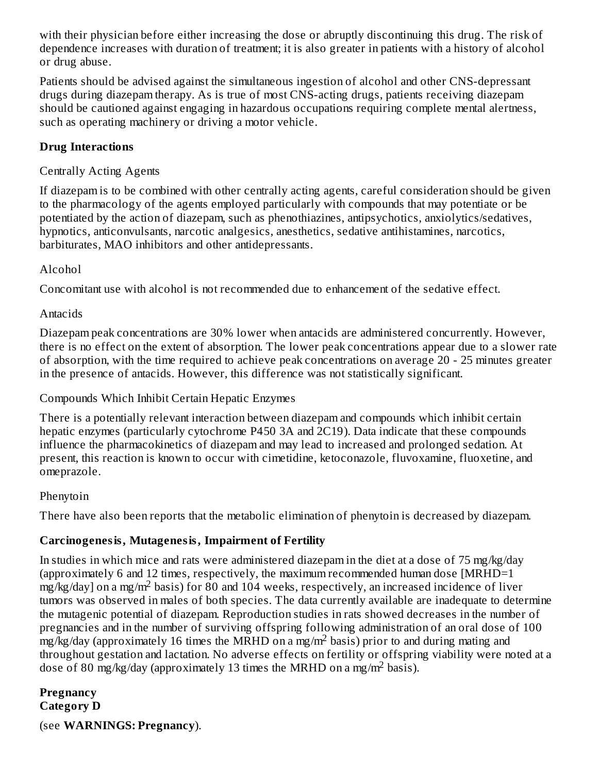with their physician before either increasing the dose or abruptly discontinuing this drug. The risk of dependence increases with duration of treatment; it is also greater in patients with a history of alcohol or drug abuse.

Patients should be advised against the simultaneous ingestion of alcohol and other CNS-depressant drugs during diazepam therapy. As is true of most CNS-acting drugs, patients receiving diazepam should be cautioned against engaging in hazardous occupations requiring complete mental alertness, such as operating machinery or driving a motor vehicle.

## **Drug Interactions**

## Centrally Acting Agents

If diazepam is to be combined with other centrally acting agents, careful consideration should be given to the pharmacology of the agents employed particularly with compounds that may potentiate or be potentiated by the action of diazepam, such as phenothiazines, antipsychotics, anxiolytics/sedatives, hypnotics, anticonvulsants, narcotic analgesics, anesthetics, sedative antihistamines, narcotics, barbiturates, MAO inhibitors and other antidepressants.

## Alcohol

Concomitant use with alcohol is not recommended due to enhancement of the sedative effect.

Antacids

Diazepam peak concentrations are 30% lower when antacids are administered concurrently. However, there is no effect on the extent of absorption. The lower peak concentrations appear due to a slower rate of absorption, with the time required to achieve peak concentrations on average 20 - 25 minutes greater in the presence of antacids. However, this difference was not statistically significant.

## Compounds Which Inhibit Certain Hepatic Enzymes

There is a potentially relevant interaction between diazepam and compounds which inhibit certain hepatic enzymes (particularly cytochrome P450 3A and 2C19). Data indicate that these compounds influence the pharmacokinetics of diazepam and may lead to increased and prolonged sedation. At present, this reaction is known to occur with cimetidine, ketoconazole, fluvoxamine, fluoxetine, and omeprazole.

## Phenytoin

There have also been reports that the metabolic elimination of phenytoin is decreased by diazepam.

# **Carcinogenesis, Mutagenesis, Impairment of Fertility**

In studies in which mice and rats were administered diazepam in the diet at a dose of 75 mg/kg/day (approximately 6 and 12 times, respectively, the maximum recommended human dose [MRHD=1  $\frac{m}{\sqrt{2}}$  and  $\frac{m}{\sqrt{2}}$  and  $\frac{m}{\sqrt{2}}$  basis) for 80 and 104 weeks, respectively, an increased incidence of liver tumors was observed in males of both species. The data currently available are inadequate to determine the mutagenic potential of diazepam. Reproduction studies in rats showed decreases in the number of pregnancies and in the number of surviving offspring following administration of an oral dose of 100  $mg/kg/day$  (approximately 16 times the MRHD on a mg/m<sup>2</sup> basis) prior to and during mating and throughout gestation and lactation. No adverse effects on fertility or offspring viability were noted at a dose of 80 mg/kg/day (approximately 13 times the MRHD on a mg/m<sup>2</sup> basis).

# **Pregnancy Category D**

(see **WARNINGS: Pregnancy**).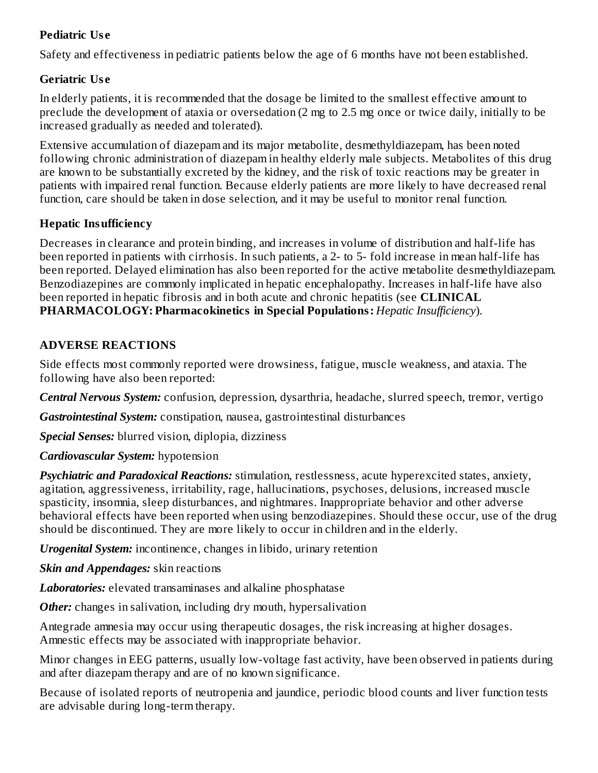## **Pediatric Us e**

Safety and effectiveness in pediatric patients below the age of 6 months have not been established.

#### **Geriatric Us e**

In elderly patients, it is recommended that the dosage be limited to the smallest effective amount to preclude the development of ataxia or oversedation (2 mg to 2.5 mg once or twice daily, initially to be increased gradually as needed and tolerated).

Extensive accumulation of diazepam and its major metabolite, desmethyldiazepam, has been noted following chronic administration of diazepam in healthy elderly male subjects. Metabolites of this drug are known to be substantially excreted by the kidney, and the risk of toxic reactions may be greater in patients with impaired renal function. Because elderly patients are more likely to have decreased renal function, care should be taken in dose selection, and it may be useful to monitor renal function.

#### **Hepatic Insufficiency**

Decreases in clearance and protein binding, and increases in volume of distribution and half-life has been reported in patients with cirrhosis. In such patients, a 2- to 5- fold increase in mean half-life has been reported. Delayed elimination has also been reported for the active metabolite desmethyldiazepam. Benzodiazepines are commonly implicated in hepatic encephalopathy. Increases in half-life have also been reported in hepatic fibrosis and in both acute and chronic hepatitis (see **CLINICAL PHARMACOLOGY: Pharmacokinetics in Special Populations:** *Hepatic Insufficiency*).

#### **ADVERSE REACTIONS**

Side effects most commonly reported were drowsiness, fatigue, muscle weakness, and ataxia. The following have also been reported:

*Central Nervous System:* confusion, depression, dysarthria, headache, slurred speech, tremor, vertigo

*Gastrointestinal System:* constipation, nausea, gastrointestinal disturbances

*Special Senses:* blurred vision, diplopia, dizziness

*Cardiovascular System:* hypotension

*Psychiatric and Paradoxical Reactions:* stimulation, restlessness, acute hyperexcited states, anxiety, agitation, aggressiveness, irritability, rage, hallucinations, psychoses, delusions, increased muscle spasticity, insomnia, sleep disturbances, and nightmares. Inappropriate behavior and other adverse behavioral effects have been reported when using benzodiazepines. Should these occur, use of the drug should be discontinued. They are more likely to occur in children and in the elderly.

*Urogenital System:* incontinence, changes in libido, urinary retention

*Skin and Appendages:* skin reactions

*Laboratories:* elevated transaminases and alkaline phosphatase

**Other:** changes in salivation, including dry mouth, hypersalivation

Antegrade amnesia may occur using therapeutic dosages, the risk increasing at higher dosages. Amnestic effects may be associated with inappropriate behavior.

Minor changes in EEG patterns, usually low-voltage fast activity, have been observed in patients during and after diazepam therapy and are of no known significance.

Because of isolated reports of neutropenia and jaundice, periodic blood counts and liver function tests are advisable during long-term therapy.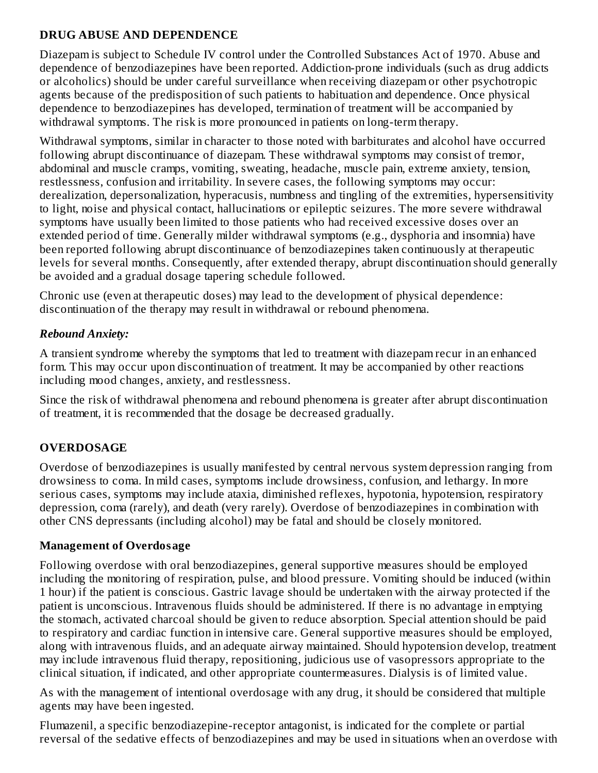## **DRUG ABUSE AND DEPENDENCE**

Diazepam is subject to Schedule IV control under the Controlled Substances Act of 1970. Abuse and dependence of benzodiazepines have been reported. Addiction-prone individuals (such as drug addicts or alcoholics) should be under careful surveillance when receiving diazepam or other psychotropic agents because of the predisposition of such patients to habituation and dependence. Once physical dependence to benzodiazepines has developed, termination of treatment will be accompanied by withdrawal symptoms. The risk is more pronounced in patients on long-term therapy.

Withdrawal symptoms, similar in character to those noted with barbiturates and alcohol have occurred following abrupt discontinuance of diazepam. These withdrawal symptoms may consist of tremor, abdominal and muscle cramps, vomiting, sweating, headache, muscle pain, extreme anxiety, tension, restlessness, confusion and irritability. In severe cases, the following symptoms may occur: derealization, depersonalization, hyperacusis, numbness and tingling of the extremities, hypersensitivity to light, noise and physical contact, hallucinations or epileptic seizures. The more severe withdrawal symptoms have usually been limited to those patients who had received excessive doses over an extended period of time. Generally milder withdrawal symptoms (e.g., dysphoria and insomnia) have been reported following abrupt discontinuance of benzodiazepines taken continuously at therapeutic levels for several months. Consequently, after extended therapy, abrupt discontinuation should generally be avoided and a gradual dosage tapering schedule followed.

Chronic use (even at therapeutic doses) may lead to the development of physical dependence: discontinuation of the therapy may result in withdrawal or rebound phenomena.

#### *Rebound Anxiety:*

A transient syndrome whereby the symptoms that led to treatment with diazepam recur in an enhanced form. This may occur upon discontinuation of treatment. It may be accompanied by other reactions including mood changes, anxiety, and restlessness.

Since the risk of withdrawal phenomena and rebound phenomena is greater after abrupt discontinuation of treatment, it is recommended that the dosage be decreased gradually.

# **OVERDOSAGE**

Overdose of benzodiazepines is usually manifested by central nervous system depression ranging from drowsiness to coma. In mild cases, symptoms include drowsiness, confusion, and lethargy. In more serious cases, symptoms may include ataxia, diminished reflexes, hypotonia, hypotension, respiratory depression, coma (rarely), and death (very rarely). Overdose of benzodiazepines in combination with other CNS depressants (including alcohol) may be fatal and should be closely monitored.

## **Management of Overdosage**

Following overdose with oral benzodiazepines, general supportive measures should be employed including the monitoring of respiration, pulse, and blood pressure. Vomiting should be induced (within 1 hour) if the patient is conscious. Gastric lavage should be undertaken with the airway protected if the patient is unconscious. Intravenous fluids should be administered. If there is no advantage in emptying the stomach, activated charcoal should be given to reduce absorption. Special attention should be paid to respiratory and cardiac function in intensive care. General supportive measures should be employed, along with intravenous fluids, and an adequate airway maintained. Should hypotension develop, treatment may include intravenous fluid therapy, repositioning, judicious use of vasopressors appropriate to the clinical situation, if indicated, and other appropriate countermeasures. Dialysis is of limited value.

As with the management of intentional overdosage with any drug, it should be considered that multiple agents may have been ingested.

Flumazenil, a specific benzodiazepine-receptor antagonist, is indicated for the complete or partial reversal of the sedative effects of benzodiazepines and may be used in situations when an overdose with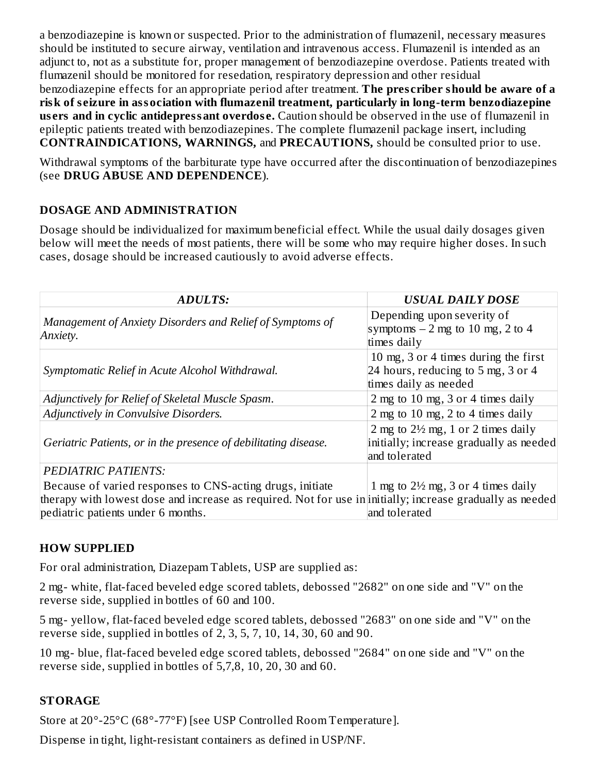a benzodiazepine is known or suspected. Prior to the administration of flumazenil, necessary measures should be instituted to secure airway, ventilation and intravenous access. Flumazenil is intended as an adjunct to, not as a substitute for, proper management of benzodiazepine overdose. Patients treated with flumazenil should be monitored for resedation, respiratory depression and other residual benzodiazepine effects for an appropriate period after treatment. **The pres criber should be aware of a risk of s eizure in association with flumazenil treatment, particularly in long-term benzodiazepine us ers and in cyclic antidepressant overdos e.** Caution should be observed in the use of flumazenil in epileptic patients treated with benzodiazepines. The complete flumazenil package insert, including **CONTRAINDICATIONS, WARNINGS,** and **PRECAUTIONS,** should be consulted prior to use.

Withdrawal symptoms of the barbiturate type have occurred after the discontinuation of benzodiazepines (see **DRUG ABUSE AND DEPENDENCE**).

## **DOSAGE AND ADMINISTRATION**

Dosage should be individualized for maximum beneficial effect. While the usual daily dosages given below will meet the needs of most patients, there will be some who may require higher doses. In such cases, dosage should be increased cautiously to avoid adverse effects.

| ADULTS:                                                                                                                                         | <b>USUAL DAILY DOSE</b>                                                                                   |
|-------------------------------------------------------------------------------------------------------------------------------------------------|-----------------------------------------------------------------------------------------------------------|
| Management of Anxiety Disorders and Relief of Symptoms of<br>Anxiety.                                                                           | Depending upon severity of<br>symptoms $-2$ mg to 10 mg, 2 to 4<br>times daily                            |
| Symptomatic Relief in Acute Alcohol Withdrawal.                                                                                                 | 10 mg, 3 or 4 times during the first<br>24 hours, reducing to 5 mg, 3 or 4<br>times daily as needed       |
| Adjunctively for Relief of Skeletal Muscle Spasm.                                                                                               | 2 mg to 10 mg, 3 or 4 times daily                                                                         |
| Adjunctively in Convulsive Disorders.                                                                                                           | 2 mg to 10 mg, 2 to 4 times daily                                                                         |
| Geriatric Patients, or in the presence of debilitating disease.                                                                                 | 2 mg to $2\frac{1}{2}$ mg, 1 or 2 times daily<br>initially; increase gradually as needed<br>and tolerated |
| <b>PEDIATRIC PATIENTS:</b>                                                                                                                      |                                                                                                           |
| Because of varied responses to CNS-acting drugs, initiate                                                                                       | 1 mg to $2\frac{1}{2}$ mg, 3 or 4 times daily                                                             |
| therapy with lowest dose and increase as required. Not for use in initially; increase gradually as needed<br>pediatric patients under 6 months. | and tolerated                                                                                             |

## **HOW SUPPLIED**

For oral administration, Diazepam Tablets, USP are supplied as:

2 mg- white, flat-faced beveled edge scored tablets, debossed "2682" on one side and "V" on the reverse side, supplied in bottles of 60 and 100.

5 mg- yellow, flat-faced beveled edge scored tablets, debossed "2683" on one side and "V" on the reverse side, supplied in bottles of 2, 3, 5, 7, 10, 14, 30, 60 and 90.

10 mg- blue, flat-faced beveled edge scored tablets, debossed "2684" on one side and "V" on the reverse side, supplied in bottles of 5,7,8, 10, 20, 30 and 60.

## **STORAGE**

Store at 20°-25°C (68°-77°F) [see USP Controlled Room Temperature].

Dispense in tight, light-resistant containers as defined in USP/NF.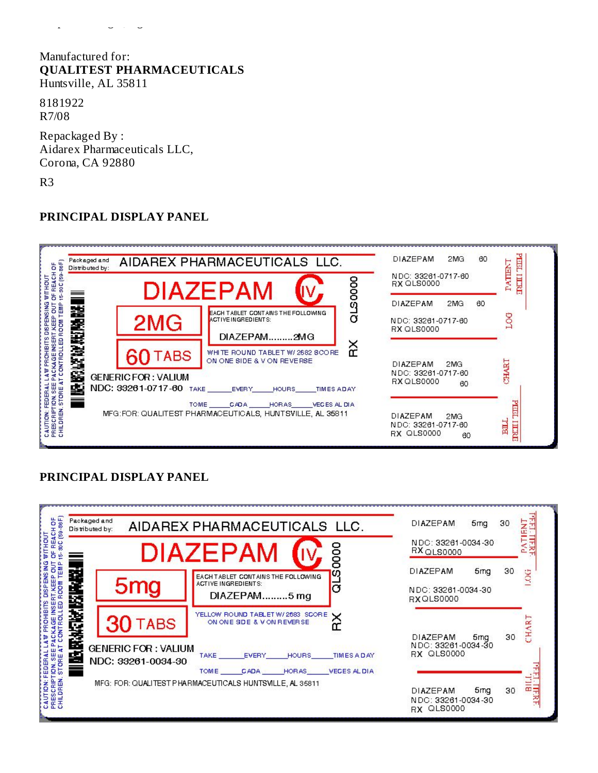#### Manufactured for: **QUALITEST PHARMACEUTICALS** Huntsville, AL 35811

Dispense in tight, light-resistant containers as defined in USP/NF.

8181922 R7/08

Repackaged By : Aidarex Pharmaceuticals LLC, Corona, CA 92880

R3

# **PRINCIPAL DISPLAY PANEL**



#### **PRINCIPAL DISPLAY PANEL**

| 86F<br>៉<br>Packaged and<br>Distributed by: | AIDAREX PHARMACEUTICALS LLC.            | <b>DIAZEPAM</b><br>5 <sub>mg</sub>                                                                                                                                                    | 30                                                            | <b>THE</b> |    |
|---------------------------------------------|-----------------------------------------|---------------------------------------------------------------------------------------------------------------------------------------------------------------------------------------|---------------------------------------------------------------|------------|----|
| ш                                           |                                         | 0000<br><b>DIAZEPAM</b>                                                                                                                                                               | NDC: 33261-0034-30<br>RX QLS0000                              |            |    |
|                                             | 5 <sub>mg</sub>                         | U)<br>EACH TABLET CONTAINS THE FOLLOWING<br><b>ACTIVE INGREDIENTS:</b><br>DIAZEPAM5 mg                                                                                                | DIAZEPAM<br>5mg<br>NDC: 33261-0034-30<br>RXQLS0000            | 30         | ЮĠ |
| 5                                           | $30$ TABS<br><b>GENERIC FOR: VALIUM</b> | YELLOW ROUND TABLET W/ 2683 SCORE<br>ON ONE SIDE & V ON REVERSE                                                                                                                       | DIAZEPAM<br>5mg<br>NDC: 33261-0034-30                         | 30         |    |
| ш<br>ğ<br>ï.                                | NDC: 33261-0034-30                      | <b>TAKE</b><br><b>HOURS</b><br><b>TIMES A DAY</b><br>EVERY.<br><b>VECES ALDIA</b><br>TOME.<br><b>CADA</b><br><b>HORAS</b><br>MFG: FOR: QUALITEST PHARMACEUTICALS HUNTSVILLE, AL 35811 | <b>RX QLS0000</b>                                             |            |    |
| DREN                                        |                                         |                                                                                                                                                                                       | DIAZEPAM<br>5mg<br>NDC: 33261-0034-30<br>QLS0000<br><b>RX</b> | 30         |    |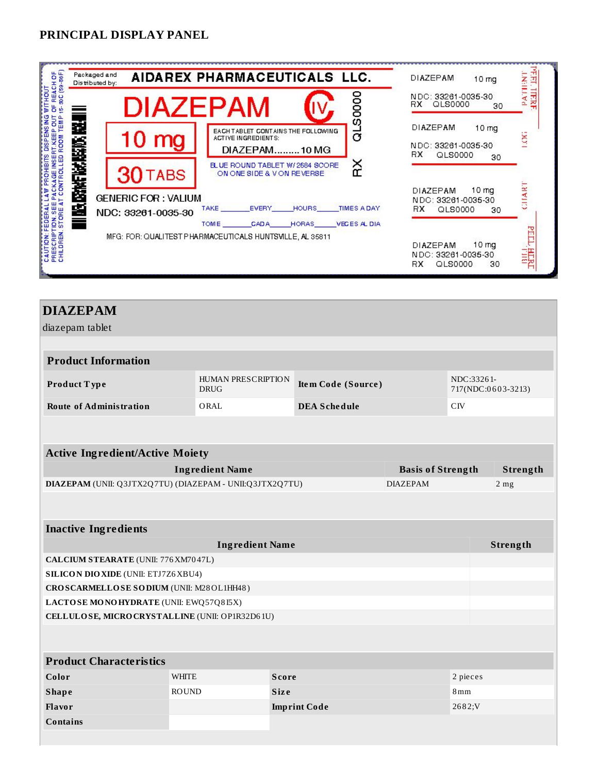#### **PRINCIPAL DISPLAY PANEL**

| LCHOF<br>59-88F                                                                         | Packaged and<br>Distributed by: |                                                                 | AIDAREX PHARMACEUTICALS LLC.                                                                                                                                                                                | <b>DIAZEPAM</b><br>10 <sub>mg</sub>                                         | 쿾<br>Ż            |
|-----------------------------------------------------------------------------------------|---------------------------------|-----------------------------------------------------------------|-------------------------------------------------------------------------------------------------------------------------------------------------------------------------------------------------------------|-----------------------------------------------------------------------------|-------------------|
| WITHOUT<br>REA<br>$\frac{1}{8}$<br>ő                                                    |                                 | DIAZEPAM                                                        | 0000510                                                                                                                                                                                                     | NDC: 33261-0035-30<br>QLS0000<br>RX.<br>30                                  | <b>TERF</b><br>ö. |
| DISPENSING<br>TEMP<br>ā                                                                 | Ź                               | mg                                                              | EACH TABLET CONTAINS THE FOLLOWING<br><b>ACTIVE INGREDIENTS:</b><br>DIAZEPAM10 MG                                                                                                                           | DIAZEPAM<br>10 <sub>mg</sub><br>NDC: 33261-0035-30<br>RX.<br>QLS0000<br>30  | <b>DC</b>         |
| PACKAGE INSERT.KEEP<br>[ CONTROLLED ROOM T<br>PROHIBITS<br>E<br>SEE<br>FEDERAL<br>STORE | 吸吸液原液原                          | <b>TABS</b><br><b>GENERIC FOR: VALIUM</b><br>NDC: 33261-0035-30 | ă<br>BLUE ROUND TABLET W/2684 SCORE<br>ON ONE SIDE & V ON REVERSE<br><b>TAKE</b><br><b>HOURS</b><br><b>TIMES A DAY</b><br><b>EVERY</b><br><b>VECES AL DIA</b><br><b>TOME</b><br><b>CADA</b><br><b>HORAS</b> | 10 <sub>ma</sub><br>DIAZEPAM<br>NDC: 33261-0035-30<br>RX.<br>QLS0000<br>30  | CHART             |
| PRESCRIPTION.<br>CHILDREN.STOI<br>UTION:<br>đ                                           |                                 |                                                                 | MFG: FOR: QUALITEST PHARMACEUTICALS HUNTSVILLE, AL 35811                                                                                                                                                    | 10 <sub>mg</sub><br>DIAZEPAM<br>NDC: 33261-0035-30.<br>QLS0000<br>30<br>RX. | <b>TATH TILE</b>  |

## **DIAZEPAM**

diazepam tablet

| սա <i>ւ</i> ւ բայլ ասու ւ                                |                                                         |              |                     |                          |                   |  |                                  |  |
|----------------------------------------------------------|---------------------------------------------------------|--------------|---------------------|--------------------------|-------------------|--|----------------------------------|--|
|                                                          |                                                         |              |                     |                          |                   |  |                                  |  |
| <b>Product Information</b>                               |                                                         |              |                     |                          |                   |  |                                  |  |
| Product Type                                             | HUMAN PRESCRIPTION<br>Item Code (Source)<br><b>DRUG</b> |              |                     |                          |                   |  | NDC:33261-<br>717(NDC:0603-3213) |  |
| <b>Route of Administration</b>                           | ORAL                                                    |              | <b>DEA Schedule</b> |                          | CIV               |  |                                  |  |
|                                                          |                                                         |              |                     |                          |                   |  |                                  |  |
| <b>Active Ingredient/Active Moiety</b>                   |                                                         |              |                     |                          |                   |  |                                  |  |
|                                                          | <b>Ingredient Name</b>                                  |              |                     | <b>Basis of Strength</b> |                   |  | Strength                         |  |
| DIAZEPAM (UNII: Q3JTX2Q7TU) (DIAZEPAM - UNII:Q3JTX2Q7TU) |                                                         |              |                     | <b>DIAZEPAM</b>          |                   |  | 2 <sub>mg</sub>                  |  |
|                                                          |                                                         |              |                     |                          |                   |  |                                  |  |
|                                                          |                                                         |              |                     |                          |                   |  |                                  |  |
| <b>Inactive Ingredients</b>                              |                                                         |              |                     |                          |                   |  |                                  |  |
|                                                          | <b>Ingredient Name</b>                                  |              |                     |                          |                   |  | Strength                         |  |
| <b>CALCIUM STEARATE (UNII: 776 XM70 47L)</b>             |                                                         |              |                     |                          |                   |  |                                  |  |
| <b>SILICON DIO XIDE (UNII: ETJ7Z6 XBU4)</b>              |                                                         |              |                     |                          |                   |  |                                  |  |
| CROSCARMELLOSE SODIUM (UNII: M28OL1HH48)                 |                                                         |              |                     |                          |                   |  |                                  |  |
| LACTOSE MONOHYDRATE (UNII: EWQ57Q8I5X)                   |                                                         |              |                     |                          |                   |  |                                  |  |
| CELLULOSE, MICRO CRYSTALLINE (UNII: OP1R32D61U)          |                                                         |              |                     |                          |                   |  |                                  |  |
|                                                          |                                                         |              |                     |                          |                   |  |                                  |  |
|                                                          |                                                         |              |                     |                          |                   |  |                                  |  |
| <b>Product Characteristics</b>                           |                                                         |              |                     |                          |                   |  |                                  |  |
| Color                                                    | <b>WHITE</b>                                            | <b>Score</b> |                     |                          | 2 pieces          |  |                                  |  |
| <b>Shape</b>                                             | <b>ROUND</b>                                            | <b>Size</b>  |                     |                          | $8 \,\mathrm{mm}$ |  |                                  |  |
| Flavor                                                   |                                                         |              | <b>Imprint Code</b> |                          | 2682;V            |  |                                  |  |
| <b>Contains</b>                                          |                                                         |              |                     |                          |                   |  |                                  |  |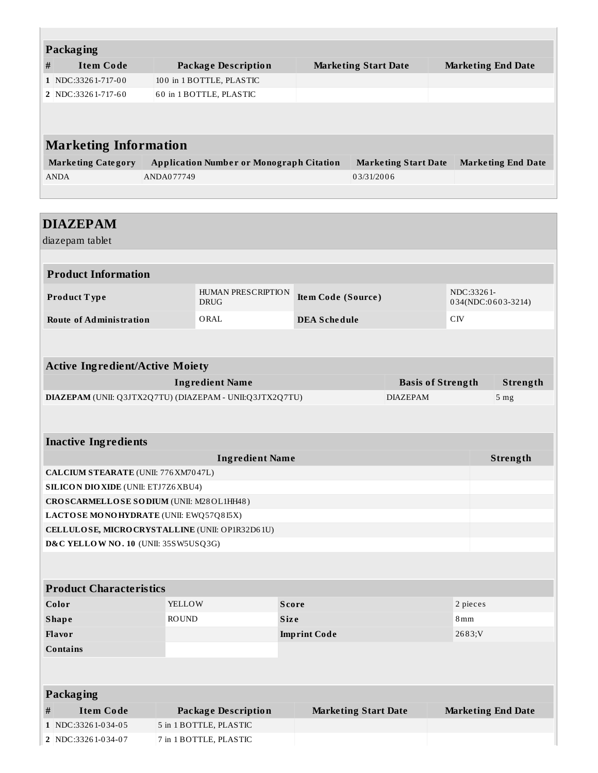|      | Packaging                                                |                                    |                                                 |                             |                             |                                  |                           |
|------|----------------------------------------------------------|------------------------------------|-------------------------------------------------|-----------------------------|-----------------------------|----------------------------------|---------------------------|
| $\#$ | <b>Item Code</b>                                         |                                    | <b>Package Description</b>                      |                             |                             |                                  | <b>Marketing End Date</b> |
|      | 1 NDC:33261-717-00                                       |                                    | 100 in 1 BOTTLE, PLASTIC                        | <b>Marketing Start Date</b> |                             |                                  |                           |
|      | 2   NDC:33261-717-60                                     |                                    | 60 in 1 BOTTLE, PLASTIC                         |                             |                             |                                  |                           |
|      |                                                          |                                    |                                                 |                             |                             |                                  |                           |
|      |                                                          |                                    |                                                 |                             |                             |                                  |                           |
|      |                                                          |                                    |                                                 |                             |                             |                                  |                           |
|      | <b>Marketing Information</b>                             |                                    |                                                 |                             |                             |                                  |                           |
|      | <b>Marketing Category</b>                                |                                    | <b>Application Number or Monograph Citation</b> |                             | <b>Marketing Start Date</b> |                                  | <b>Marketing End Date</b> |
|      | <b>ANDA</b>                                              | ANDA077749                         |                                                 | 03/31/2006                  |                             |                                  |                           |
|      |                                                          |                                    |                                                 |                             |                             |                                  |                           |
|      |                                                          |                                    |                                                 |                             |                             |                                  |                           |
|      | <b>DIAZEPAM</b>                                          |                                    |                                                 |                             |                             |                                  |                           |
|      | diazepam tablet                                          |                                    |                                                 |                             |                             |                                  |                           |
|      |                                                          |                                    |                                                 |                             |                             |                                  |                           |
|      | <b>Product Information</b>                               |                                    |                                                 |                             |                             |                                  |                           |
|      |                                                          |                                    |                                                 |                             |                             |                                  |                           |
|      | Product Type                                             |                                    | HUMAN PRESCRIPTION<br><b>DRUG</b>               | Item Code (Source)          |                             | NDC:33261-<br>034(NDC:0603-3214) |                           |
|      |                                                          |                                    |                                                 |                             |                             |                                  |                           |
|      | <b>Route of Administration</b>                           |                                    | ORAL                                            | <b>DEA Schedule</b>         |                             | CIV                              |                           |
|      |                                                          |                                    |                                                 |                             |                             |                                  |                           |
|      |                                                          |                                    |                                                 |                             |                             |                                  |                           |
|      | <b>Active Ingredient/Active Moiety</b>                   |                                    |                                                 |                             |                             |                                  |                           |
|      |                                                          |                                    | <b>Ingredient Name</b>                          |                             | <b>Basis of Strength</b>    |                                  | Strength                  |
|      | DIAZEPAM (UNII: Q3JTX2Q7TU) (DIAZEPAM - UNII:Q3JTX2Q7TU) |                                    |                                                 |                             | <b>DIAZEPAM</b>             |                                  | 5 <sub>mg</sub>           |
|      |                                                          |                                    |                                                 |                             |                             |                                  |                           |
|      |                                                          |                                    |                                                 |                             |                             |                                  |                           |
|      | <b>Inactive Ingredients</b>                              |                                    |                                                 |                             |                             |                                  |                           |
|      |                                                          |                                    | <b>Ingredient Name</b>                          |                             |                             |                                  | Strength                  |
|      | <b>CALCIUM STEARATE (UNII: 776 XM70 47L)</b>             |                                    |                                                 |                             |                             |                                  |                           |
|      | <b>SILICON DIO XIDE (UNII: ETJ7Z6 XBU4)</b>              |                                    |                                                 |                             |                             |                                  |                           |
|      | CROSCARMELLOSE SODIUM (UNII: M28OL1HH48)                 |                                    |                                                 |                             |                             |                                  |                           |
|      | LACTOSE MONOHYDRATE (UNII: EWQ57Q8I5X)                   |                                    |                                                 |                             |                             |                                  |                           |
|      | CELLULOSE, MICRO CRYSTALLINE (UNII: OP1R32D61U)          |                                    |                                                 |                             |                             |                                  |                           |
|      | D&C YELLOW NO. 10 (UNII: 35SW5USQ3G)                     |                                    |                                                 |                             |                             |                                  |                           |
|      |                                                          |                                    |                                                 |                             |                             |                                  |                           |
|      |                                                          |                                    |                                                 |                             |                             |                                  |                           |
|      | <b>Product Characteristics</b>                           |                                    |                                                 |                             |                             |                                  |                           |
|      | Color                                                    | YELLOW                             |                                                 | <b>Score</b>                |                             | 2 pieces                         |                           |
|      | <b>Shape</b>                                             | <b>ROUND</b><br>8mm<br><b>Size</b> |                                                 |                             |                             |                                  |                           |
|      | Flavor                                                   |                                    |                                                 | <b>Imprint Code</b>         |                             | 2683;V                           |                           |
|      | <b>Contains</b>                                          |                                    |                                                 |                             |                             |                                  |                           |
|      |                                                          |                                    |                                                 |                             |                             |                                  |                           |
|      |                                                          |                                    |                                                 |                             |                             |                                  |                           |
|      |                                                          |                                    |                                                 |                             |                             |                                  |                           |
|      | <b>Packaging</b>                                         |                                    |                                                 |                             |                             |                                  |                           |
| #    | <b>Item Code</b>                                         |                                    | <b>Package Description</b>                      | <b>Marketing Start Date</b> |                             |                                  | <b>Marketing End Date</b> |
|      | 1 NDC:33261-034-05                                       |                                    | 5 in 1 BOTTLE, PLASTIC                          |                             |                             |                                  |                           |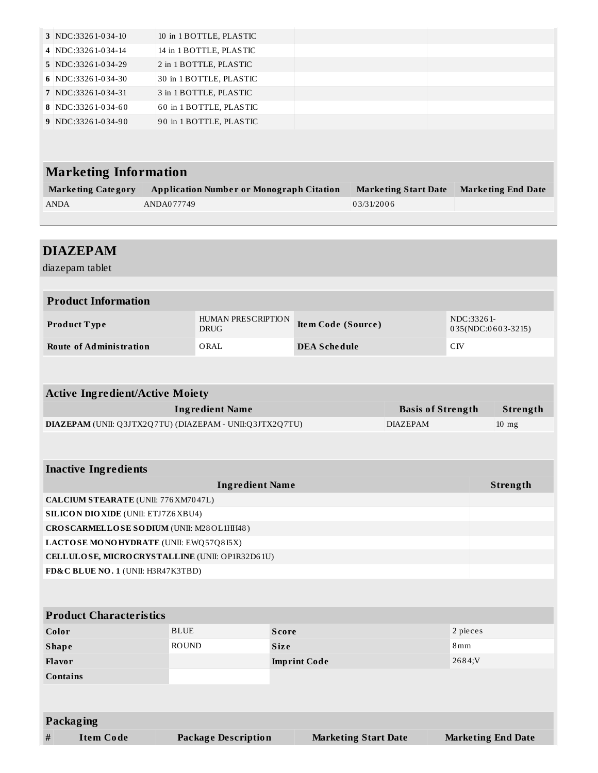|                              | $3$ NDC: 33261-034-10     | 10 in 1 BOTTLE, PLASTIC                         |  |                             |                           |  |  |
|------------------------------|---------------------------|-------------------------------------------------|--|-----------------------------|---------------------------|--|--|
|                              | 4 NDC:33261-034-14        | 14 in 1 BOTTLE, PLASTIC                         |  |                             |                           |  |  |
|                              | 5 NDC:33261-034-29        | 2 in 1 BOTTLE, PLASTIC                          |  |                             |                           |  |  |
|                              | 6 NDC:33261-034-30        | 30 in 1 BOTTLE, PLASTIC                         |  |                             |                           |  |  |
|                              | 7 NDC:33261-034-31        | 3 in 1 BOTTLE, PLASTIC                          |  |                             |                           |  |  |
|                              | 8 NDC:33261-034-60        | 60 in 1 BOTTLE, PLASTIC                         |  |                             |                           |  |  |
|                              | $9$ NDC:33261-034-90      | 90 in 1 BOTTLE, PLASTIC                         |  |                             |                           |  |  |
|                              |                           |                                                 |  |                             |                           |  |  |
| <b>Marketing Information</b> |                           |                                                 |  |                             |                           |  |  |
|                              | <b>Marketing Category</b> | <b>Application Number or Monograph Citation</b> |  | <b>Marketing Start Date</b> | <b>Marketing End Date</b> |  |  |
|                              | <b>ANDA</b>               | ANDA077749                                      |  | 03/31/2006                  |                           |  |  |
|                              |                           |                                                 |  |                             |                           |  |  |

| <b>DIAZEPAM</b><br>diazepam tablet                       |                                                                                                    |                             |                          |                 |                           |  |  |  |
|----------------------------------------------------------|----------------------------------------------------------------------------------------------------|-----------------------------|--------------------------|-----------------|---------------------------|--|--|--|
|                                                          |                                                                                                    |                             |                          |                 |                           |  |  |  |
| <b>Product Information</b>                               |                                                                                                    |                             |                          |                 |                           |  |  |  |
| Product Type                                             | <b>HUMAN PRESCRIPTION</b><br>NDC:33261-<br>Item Code (Source)<br><b>DRUG</b><br>035(NDC:0603-3215) |                             |                          |                 |                           |  |  |  |
| <b>Route of Administration</b>                           | ORAL                                                                                               | <b>DEA Schedule</b>         |                          | C <sub>IV</sub> |                           |  |  |  |
|                                                          |                                                                                                    |                             |                          |                 |                           |  |  |  |
| <b>Active Ingredient/Active Moiety</b>                   |                                                                                                    |                             |                          |                 |                           |  |  |  |
|                                                          | <b>Ingredient Name</b>                                                                             |                             | <b>Basis of Strength</b> |                 | Strength                  |  |  |  |
| DIAZEPAM (UNII: Q3JTX2Q7TU) (DIAZEPAM - UNII:Q3JTX2Q7TU) |                                                                                                    |                             | <b>DIAZEPAM</b>          |                 | $10$ mg                   |  |  |  |
|                                                          |                                                                                                    |                             |                          |                 |                           |  |  |  |
|                                                          |                                                                                                    |                             |                          |                 |                           |  |  |  |
| <b>Inactive Ingredients</b>                              |                                                                                                    |                             |                          |                 |                           |  |  |  |
|                                                          | <b>Ingredient Name</b>                                                                             |                             |                          |                 | Strength                  |  |  |  |
| CALCIUM STEARATE (UNII: 776 XM70 47L)                    |                                                                                                    |                             |                          |                 |                           |  |  |  |
| <b>SILICON DIO XIDE (UNII: ETJ7Z6 XBU4)</b>              |                                                                                                    |                             |                          |                 |                           |  |  |  |
| CROSCARMELLOSE SODIUM (UNII: M28OL1HH48)                 |                                                                                                    |                             |                          |                 |                           |  |  |  |
| LACTOSE MONOHYDRATE (UNII: EWQ57Q815X)                   |                                                                                                    |                             |                          |                 |                           |  |  |  |
| CELLULOSE, MICRO CRYSTALLINE (UNII: OP1R32D61U)          |                                                                                                    |                             |                          |                 |                           |  |  |  |
| FD&C BLUE NO. 1 (UNII: H3R47K3TBD)                       |                                                                                                    |                             |                          |                 |                           |  |  |  |
|                                                          |                                                                                                    |                             |                          |                 |                           |  |  |  |
| <b>Product Characteristics</b>                           |                                                                                                    |                             |                          |                 |                           |  |  |  |
| Color                                                    | <b>BLUE</b>                                                                                        | <b>Score</b>                |                          | 2 pieces        |                           |  |  |  |
| <b>Shape</b>                                             | <b>ROUND</b>                                                                                       | <b>Size</b>                 |                          | 8mm             |                           |  |  |  |
| Flavor                                                   | <b>Imprint Code</b>                                                                                |                             |                          | 2684;V          |                           |  |  |  |
| <b>Contains</b>                                          |                                                                                                    |                             |                          |                 |                           |  |  |  |
|                                                          |                                                                                                    |                             |                          |                 |                           |  |  |  |
| Packaging                                                |                                                                                                    |                             |                          |                 |                           |  |  |  |
| $\#$<br><b>Item Code</b>                                 | <b>Package Description</b>                                                                         | <b>Marketing Start Date</b> |                          |                 | <b>Marketing End Date</b> |  |  |  |